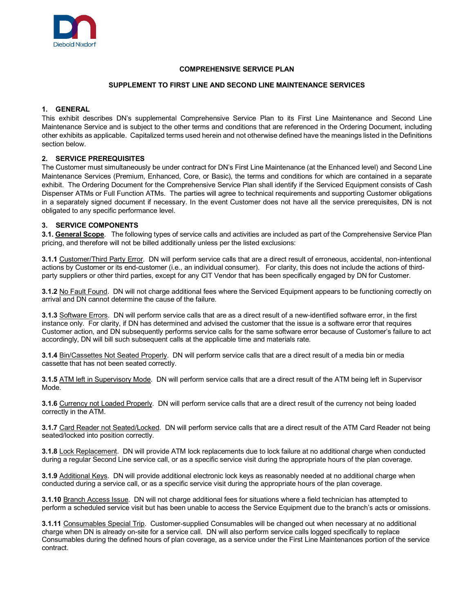

## **COMPREHENSIVE SERVICE PLAN**

#### **SUPPLEMENT TO FIRST LINE AND SECOND LINE MAINTENANCE SERVICES**

# **1. GENERAL**

This exhibit describes DN's supplemental Comprehensive Service Plan to its First Line Maintenance and Second Line Maintenance Service and is subject to the other terms and conditions that are referenced in the Ordering Document, including other exhibits as applicable. Capitalized terms used herein and not otherwise defined have the meanings listed in the Definitions section below.

## **2. SERVICE PREREQUISITES**

The Customer must simultaneously be under contract for DN's First Line Maintenance (at the Enhanced level) and Second Line Maintenance Services (Premium, Enhanced, Core, or Basic), the terms and conditions for which are contained in a separate exhibit. The Ordering Document for the Comprehensive Service Plan shall identify if the Serviced Equipment consists of Cash Dispenser ATMs or Full Function ATMs. The parties will agree to technical requirements and supporting Customer obligations in a separately signed document if necessary. In the event Customer does not have all the service prerequisites, DN is not obligated to any specific performance level.

## **3. SERVICE COMPONENTS**

**3.1. General Scope**. The following types of service calls and activities are included as part of the Comprehensive Service Plan pricing, and therefore will not be billed additionally unless per the listed exclusions:

**3.1.1** Customer/Third Party Error.DN will perform service calls that are a direct result of erroneous, accidental, non-intentional actions by Customer or its end-customer (i.e., an individual consumer). For clarity, this does not include the actions of thirdparty suppliers or other third parties, except for any CIT Vendor that has been specifically engaged by DN for Customer.

**3.1.2** No Fault Found. DN will not charge additional fees where the Serviced Equipment appears to be functioning correctly on arrival and DN cannot determine the cause of the failure.

**3.1.3** Software Errors. DN will perform service calls that are as a direct result of a new-identified software error, in the first instance only. For clarity, if DN has determined and advised the customer that the issue is a software error that requires Customer action, and DN subsequently performs service calls for the same software error because of Customer's failure to act accordingly, DN will bill such subsequent calls at the applicable time and materials rate.

**3.1.4** Bin/Cassettes Not Seated Properly. DN will perform service calls that are a direct result of a media bin or media cassette that has not been seated correctly.

**3.1.5** ATM left in Supervisory Mode. DN will perform service calls that are a direct result of the ATM being left in Supervisor Mode.

**3.1.6** Currency not Loaded Properly. DN will perform service calls that are a direct result of the currency not being loaded correctly in the ATM.

**3.1.7** Card Reader not Seated/Locked. DN will perform service calls that are a direct result of the ATM Card Reader not being seated/locked into position correctly.

**3.1.8** Lock Replacement. DN will provide ATM lock replacements due to lock failure at no additional charge when conducted during a regular Second Line service call, or as a specific service visit during the appropriate hours of the plan coverage.

**3.1.9** Additional Keys. DN will provide additional electronic lock keys as reasonably needed at no additional charge when conducted during a service call, or as a specific service visit during the appropriate hours of the plan coverage.

**3.1.10** Branch Access Issue. DN will not charge additional fees for situations where a field technician has attempted to perform a scheduled service visit but has been unable to access the Service Equipment due to the branch's acts or omissions.

**3.1.11** Consumables Special Trip. Customer-supplied Consumables will be changed out when necessary at no additional charge when DN is already on-site for a service call. DN will also perform service calls logged specifically to replace Consumables during the defined hours of plan coverage, as a service under the First Line Maintenances portion of the service contract.